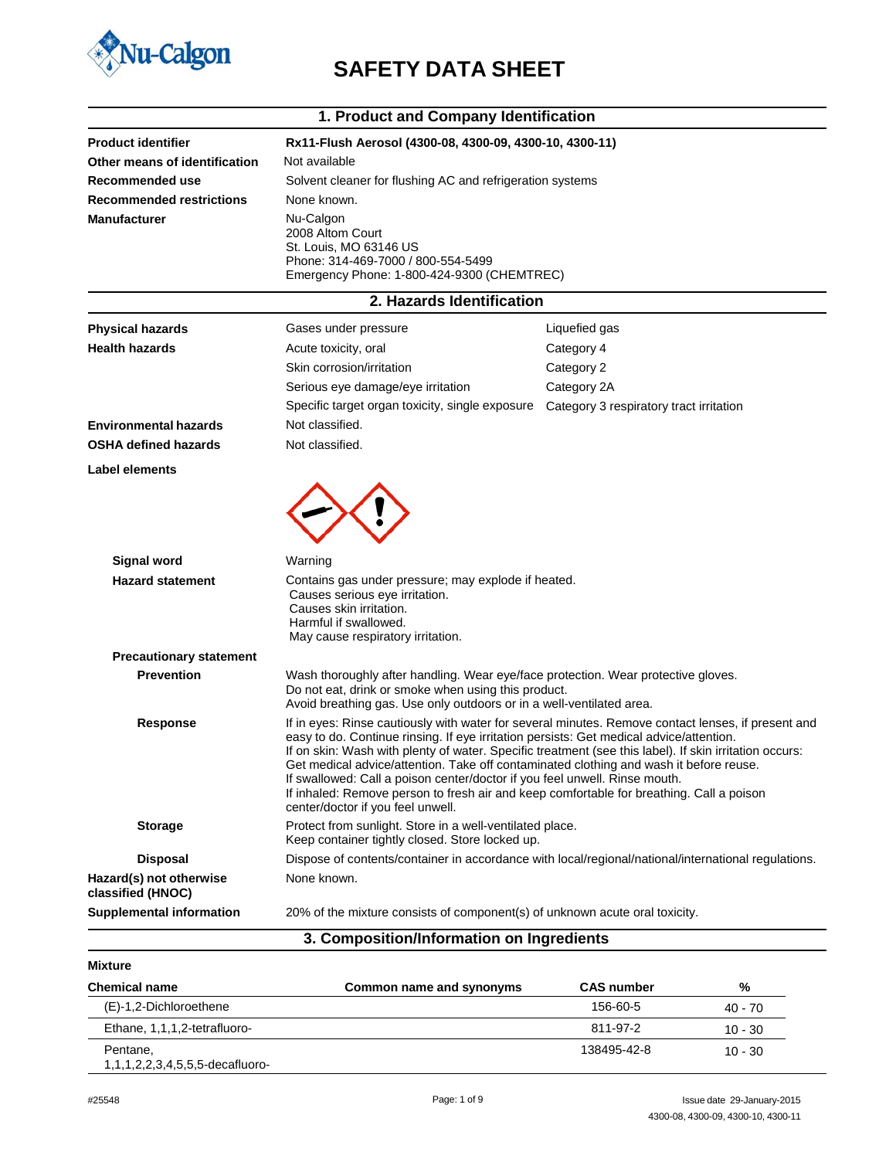

# **U-Calgon SAFETY DATA SHEET**

|                                              | 1. Product and Company Identification                                                                                                                                                                                                                                                                                                                                                                                                                                                                                                                                                                            |                                                                                                     |  |
|----------------------------------------------|------------------------------------------------------------------------------------------------------------------------------------------------------------------------------------------------------------------------------------------------------------------------------------------------------------------------------------------------------------------------------------------------------------------------------------------------------------------------------------------------------------------------------------------------------------------------------------------------------------------|-----------------------------------------------------------------------------------------------------|--|
| <b>Product identifier</b>                    | Rx11-Flush Aerosol (4300-08, 4300-09, 4300-10, 4300-11)                                                                                                                                                                                                                                                                                                                                                                                                                                                                                                                                                          |                                                                                                     |  |
| Other means of identification                | Not available                                                                                                                                                                                                                                                                                                                                                                                                                                                                                                                                                                                                    |                                                                                                     |  |
| Recommended use                              | Solvent cleaner for flushing AC and refrigeration systems                                                                                                                                                                                                                                                                                                                                                                                                                                                                                                                                                        |                                                                                                     |  |
| <b>Recommended restrictions</b>              | None known.                                                                                                                                                                                                                                                                                                                                                                                                                                                                                                                                                                                                      |                                                                                                     |  |
| <b>Manufacturer</b>                          | Nu-Calgon<br>2008 Altom Court<br>St. Louis, MO 63146 US<br>Phone: 314-469-7000 / 800-554-5499<br>Emergency Phone: 1-800-424-9300 (CHEMTREC)                                                                                                                                                                                                                                                                                                                                                                                                                                                                      |                                                                                                     |  |
|                                              | 2. Hazards Identification                                                                                                                                                                                                                                                                                                                                                                                                                                                                                                                                                                                        |                                                                                                     |  |
| <b>Physical hazards</b>                      | Gases under pressure                                                                                                                                                                                                                                                                                                                                                                                                                                                                                                                                                                                             | Liquefied gas                                                                                       |  |
| <b>Health hazards</b>                        | Acute toxicity, oral                                                                                                                                                                                                                                                                                                                                                                                                                                                                                                                                                                                             | Category 4                                                                                          |  |
|                                              | Skin corrosion/irritation                                                                                                                                                                                                                                                                                                                                                                                                                                                                                                                                                                                        | Category 2                                                                                          |  |
|                                              | Serious eye damage/eye irritation                                                                                                                                                                                                                                                                                                                                                                                                                                                                                                                                                                                | Category 2A                                                                                         |  |
|                                              | Specific target organ toxicity, single exposure                                                                                                                                                                                                                                                                                                                                                                                                                                                                                                                                                                  | Category 3 respiratory tract irritation                                                             |  |
| <b>Environmental hazards</b>                 | Not classified.                                                                                                                                                                                                                                                                                                                                                                                                                                                                                                                                                                                                  |                                                                                                     |  |
| <b>OSHA defined hazards</b>                  | Not classified.                                                                                                                                                                                                                                                                                                                                                                                                                                                                                                                                                                                                  |                                                                                                     |  |
| Label elements                               |                                                                                                                                                                                                                                                                                                                                                                                                                                                                                                                                                                                                                  |                                                                                                     |  |
| Signal word                                  | Warning                                                                                                                                                                                                                                                                                                                                                                                                                                                                                                                                                                                                          |                                                                                                     |  |
| <b>Hazard statement</b>                      | Contains gas under pressure; may explode if heated.                                                                                                                                                                                                                                                                                                                                                                                                                                                                                                                                                              |                                                                                                     |  |
|                                              | Causes serious eye irritation.<br>Causes skin irritation.<br>Harmful if swallowed.<br>May cause respiratory irritation.                                                                                                                                                                                                                                                                                                                                                                                                                                                                                          |                                                                                                     |  |
| <b>Precautionary statement</b>               |                                                                                                                                                                                                                                                                                                                                                                                                                                                                                                                                                                                                                  |                                                                                                     |  |
| <b>Prevention</b>                            | Wash thoroughly after handling. Wear eye/face protection. Wear protective gloves.<br>Do not eat, drink or smoke when using this product.<br>Avoid breathing gas. Use only outdoors or in a well-ventilated area.                                                                                                                                                                                                                                                                                                                                                                                                 |                                                                                                     |  |
| <b>Response</b>                              | If in eyes: Rinse cautiously with water for several minutes. Remove contact lenses, if present and<br>easy to do. Continue rinsing. If eye irritation persists: Get medical advice/attention.<br>If on skin: Wash with plenty of water. Specific treatment (see this label). If skin irritation occurs:<br>Get medical advice/attention. Take off contaminated clothing and wash it before reuse.<br>If swallowed: Call a poison center/doctor if you feel unwell. Rinse mouth.<br>If inhaled: Remove person to fresh air and keep comfortable for breathing. Call a poison<br>center/doctor if you feel unwell. |                                                                                                     |  |
| <b>Storage</b>                               | Protect from sunlight. Store in a well-ventilated place.<br>Keep container tightly closed. Store locked up.                                                                                                                                                                                                                                                                                                                                                                                                                                                                                                      |                                                                                                     |  |
| <b>Disposal</b>                              |                                                                                                                                                                                                                                                                                                                                                                                                                                                                                                                                                                                                                  | Dispose of contents/container in accordance with local/regional/national/international regulations. |  |
| Hazard(s) not otherwise<br>classified (HNOC) | None known.                                                                                                                                                                                                                                                                                                                                                                                                                                                                                                                                                                                                      |                                                                                                     |  |
| <b>Supplemental information</b>              | 20% of the mixture consists of component(s) of unknown acute oral toxicity.                                                                                                                                                                                                                                                                                                                                                                                                                                                                                                                                      |                                                                                                     |  |

## **3. Composition/Information on Ingredients**

| Mixture                                     |                          |                   |           |
|---------------------------------------------|--------------------------|-------------------|-----------|
| <b>Chemical name</b>                        | Common name and synonyms | <b>CAS number</b> | %         |
| (E)-1,2-Dichloroethene                      |                          | 156-60-5          | 40 - 70   |
| Ethane, 1,1,1,2-tetrafluoro-                |                          | 811-97-2          | $10 - 30$ |
| Pentane,<br>1,1,1,2,2,3,4,5,5,5-decafluoro- |                          | 138495-42-8       | $10 - 30$ |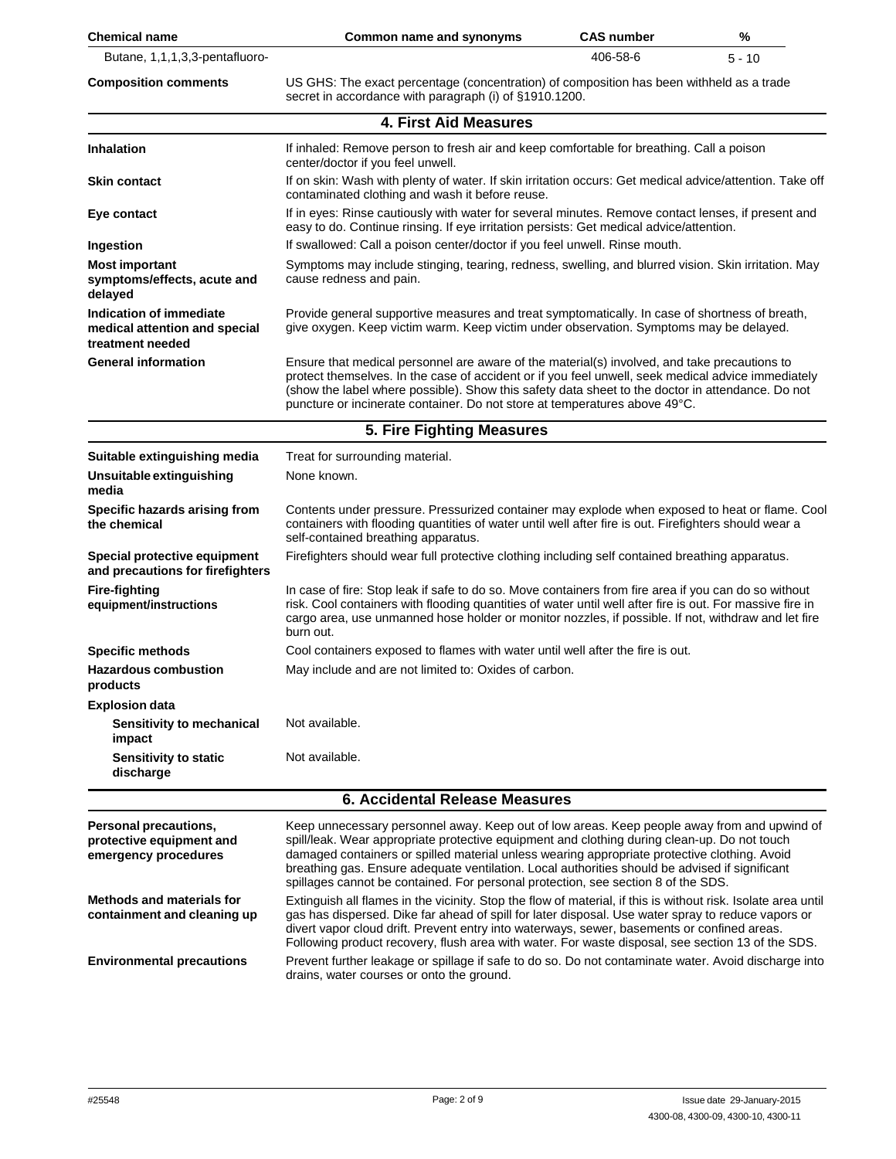| <b>Chemical name</b>                                                         | Common name and synonyms                                                                                                                                                                                                                                                                                                                                                                                                                                                           | <b>CAS number</b> | %        |
|------------------------------------------------------------------------------|------------------------------------------------------------------------------------------------------------------------------------------------------------------------------------------------------------------------------------------------------------------------------------------------------------------------------------------------------------------------------------------------------------------------------------------------------------------------------------|-------------------|----------|
| Butane, 1,1,1,3,3-pentafluoro-                                               |                                                                                                                                                                                                                                                                                                                                                                                                                                                                                    | 406-58-6          | $5 - 10$ |
| <b>Composition comments</b>                                                  | US GHS: The exact percentage (concentration) of composition has been withheld as a trade<br>secret in accordance with paragraph (i) of §1910.1200.                                                                                                                                                                                                                                                                                                                                 |                   |          |
|                                                                              | 4. First Aid Measures                                                                                                                                                                                                                                                                                                                                                                                                                                                              |                   |          |
| <b>Inhalation</b>                                                            | If inhaled: Remove person to fresh air and keep comfortable for breathing. Call a poison<br>center/doctor if you feel unwell.                                                                                                                                                                                                                                                                                                                                                      |                   |          |
| Skin contact                                                                 | If on skin: Wash with plenty of water. If skin irritation occurs: Get medical advice/attention. Take off<br>contaminated clothing and wash it before reuse.                                                                                                                                                                                                                                                                                                                        |                   |          |
| Eye contact                                                                  | If in eyes: Rinse cautiously with water for several minutes. Remove contact lenses, if present and<br>easy to do. Continue rinsing. If eye irritation persists: Get medical advice/attention.                                                                                                                                                                                                                                                                                      |                   |          |
| Ingestion                                                                    | If swallowed: Call a poison center/doctor if you feel unwell. Rinse mouth.                                                                                                                                                                                                                                                                                                                                                                                                         |                   |          |
| <b>Most important</b><br>symptoms/effects, acute and<br>delayed              | Symptoms may include stinging, tearing, redness, swelling, and blurred vision. Skin irritation. May<br>cause redness and pain.                                                                                                                                                                                                                                                                                                                                                     |                   |          |
| Indication of immediate<br>medical attention and special<br>treatment needed | Provide general supportive measures and treat symptomatically. In case of shortness of breath,<br>give oxygen. Keep victim warm. Keep victim under observation. Symptoms may be delayed.                                                                                                                                                                                                                                                                                           |                   |          |
| <b>General information</b>                                                   | Ensure that medical personnel are aware of the material(s) involved, and take precautions to<br>protect themselves. In the case of accident or if you feel unwell, seek medical advice immediately<br>(show the label where possible). Show this safety data sheet to the doctor in attendance. Do not<br>puncture or incinerate container. Do not store at temperatures above 49°C.                                                                                               |                   |          |
|                                                                              | 5. Fire Fighting Measures                                                                                                                                                                                                                                                                                                                                                                                                                                                          |                   |          |
| Suitable extinguishing media                                                 | Treat for surrounding material.                                                                                                                                                                                                                                                                                                                                                                                                                                                    |                   |          |
| Unsuitable extinguishing<br>media                                            | None known.                                                                                                                                                                                                                                                                                                                                                                                                                                                                        |                   |          |
| Specific hazards arising from<br>the chemical                                | Contents under pressure. Pressurized container may explode when exposed to heat or flame. Cool<br>containers with flooding quantities of water until well after fire is out. Firefighters should wear a<br>self-contained breathing apparatus.                                                                                                                                                                                                                                     |                   |          |
| Special protective equipment<br>and precautions for firefighters             | Firefighters should wear full protective clothing including self contained breathing apparatus.                                                                                                                                                                                                                                                                                                                                                                                    |                   |          |
| <b>Fire-fighting</b><br>equipment/instructions                               | In case of fire: Stop leak if safe to do so. Move containers from fire area if you can do so without<br>risk. Cool containers with flooding quantities of water until well after fire is out. For massive fire in<br>cargo area, use unmanned hose holder or monitor nozzles, if possible. If not, withdraw and let fire<br>burn out.                                                                                                                                              |                   |          |
| <b>Specific methods</b>                                                      | Cool containers exposed to flames with water until well after the fire is out.                                                                                                                                                                                                                                                                                                                                                                                                     |                   |          |
| <b>Hazardous combustion</b><br>products                                      | May include and are not limited to: Oxides of carbon.                                                                                                                                                                                                                                                                                                                                                                                                                              |                   |          |
| <b>Explosion data</b>                                                        |                                                                                                                                                                                                                                                                                                                                                                                                                                                                                    |                   |          |
| Sensitivity to mechanical<br>impact                                          | Not available.                                                                                                                                                                                                                                                                                                                                                                                                                                                                     |                   |          |
| <b>Sensitivity to static</b><br>discharge                                    | Not available.                                                                                                                                                                                                                                                                                                                                                                                                                                                                     |                   |          |
|                                                                              | <b>6. Accidental Release Measures</b>                                                                                                                                                                                                                                                                                                                                                                                                                                              |                   |          |
| Personal precautions,<br>protective equipment and<br>emergency procedures    | Keep unnecessary personnel away. Keep out of low areas. Keep people away from and upwind of<br>spill/leak. Wear appropriate protective equipment and clothing during clean-up. Do not touch<br>damaged containers or spilled material unless wearing appropriate protective clothing. Avoid<br>breathing gas. Ensure adequate ventilation. Local authorities should be advised if significant<br>spillages cannot be contained. For personal protection, see section 8 of the SDS. |                   |          |
| <b>Methods and materials for</b><br>containment and cleaning up              | Extinguish all flames in the vicinity. Stop the flow of material, if this is without risk. Isolate area until<br>gas has dispersed. Dike far ahead of spill for later disposal. Use water spray to reduce vapors or<br>divert vapor cloud drift. Prevent entry into waterways, sewer, basements or confined areas.<br>Following product recovery, flush area with water. For waste disposal, see section 13 of the SDS.                                                            |                   |          |

**Environmental precautions** Prevent further leakage or spillage if safe to do so. Do not contaminate water. Avoid discharge into

drains, water courses or onto the ground.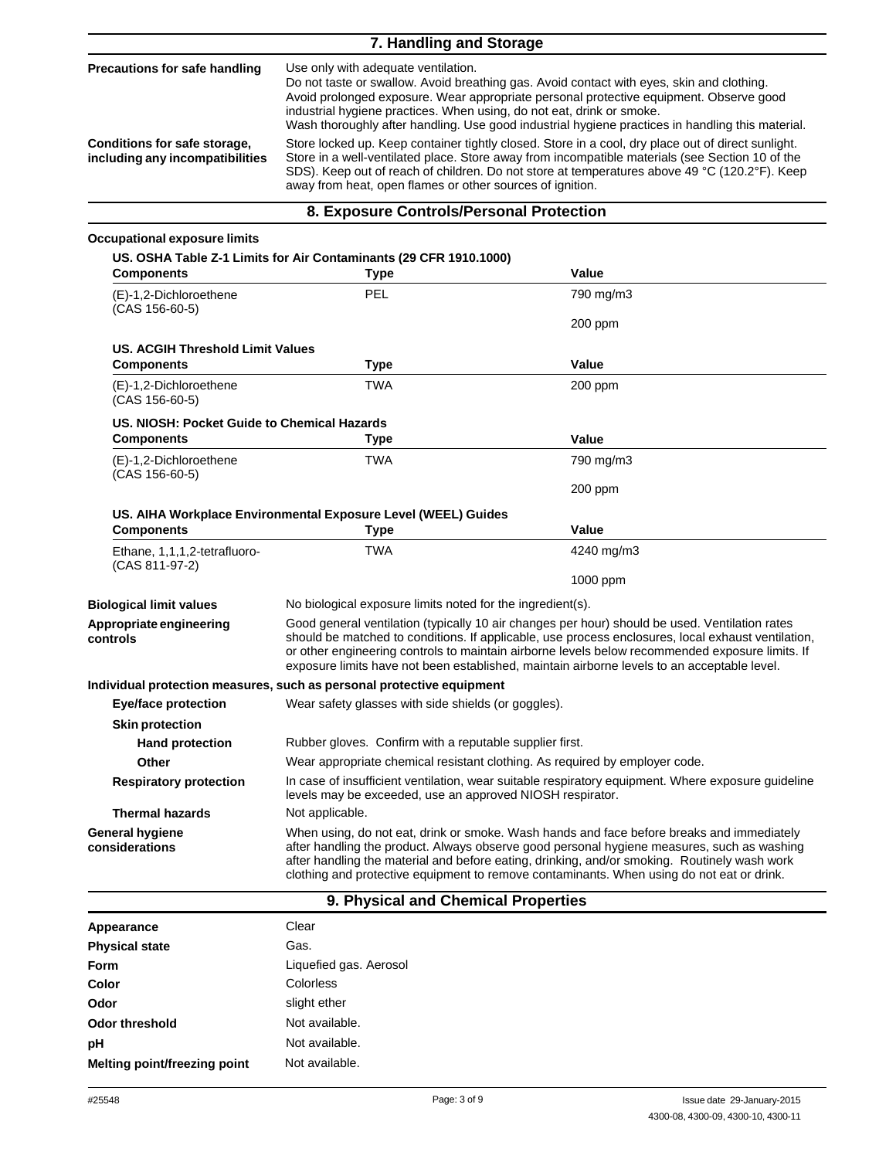| 7. Handling and Storage                                         |                                                                                                                                                                                                                                                                                                                                                                                                         |  |
|-----------------------------------------------------------------|---------------------------------------------------------------------------------------------------------------------------------------------------------------------------------------------------------------------------------------------------------------------------------------------------------------------------------------------------------------------------------------------------------|--|
| <b>Precautions for safe handling</b>                            | Use only with adequate ventilation.<br>Do not taste or swallow. Avoid breathing gas. Avoid contact with eyes, skin and clothing.<br>Avoid prolonged exposure. Wear appropriate personal protective equipment. Observe good<br>industrial hygiene practices. When using, do not eat, drink or smoke.<br>Wash thoroughly after handling. Use good industrial hygiene practices in handling this material. |  |
| Conditions for safe storage,<br>including any incompatibilities | Store locked up. Keep container tightly closed. Store in a cool, dry place out of direct sunlight.<br>Store in a well-ventilated place. Store away from incompatible materials (see Section 10 of the<br>SDS). Keep out of reach of children. Do not store at temperatures above 49 °C (120.2°F). Keep<br>away from heat, open flames or other sources of ignition.                                     |  |

### **8. Exposure Controls/Personal Protection**

#### **Occupational exposure limits**

**US. OSHA Table Z-1 Limits for Air Contaminants (29 CFR 1910.1000) Components Type Value** (E)-1,2-Dichloroethene (CAS 156-60-5) PEL 790 mg/m3 200 ppm **US. ACGIH Threshold Limit Values Components Type Value** (E)-1,2-Dichloroethene (CAS 156-60-5) TWA 200 ppm **US. NIOSH: Pocket Guide to Chemical Hazards Components Type Value** (E)-1,2-Dichloroethene (CAS 156-60-5) TWA 790 mg/m3 200 ppm **US. AIHA Workplace Environmental Exposure Level (WEEL) Guides Components Type Value** Ethane, 1,1,1,2-tetrafluoro- (CAS 811-97-2) TWA 4240 mg/m3 1000 ppm **Biological limit values** No biological exposure limits noted for the ingredient(s). **Appropriate engineering controls** Good general ventilation (typically 10 air changes per hour) should be used. Ventilation rates should be matched to conditions. If applicable, use process enclosures, local exhaust ventilation, or other engineering controls to maintain airborne levels below recommended exposure limits. If exposure limits have not been established, maintain airborne levels to an acceptable level. **Individual protection measures, such as personal protective equipment Eye/face protection** Wear safety glasses with side shields (or goggles). **Skin protection** Hand protection **Rubber gloves.** Confirm with a reputable supplier first. **Other** Wear appropriate chemical resistant clothing. As required by employer code. **Respiratory protection** In case of insufficient ventilation, wear suitable respiratory equipment. Where exposure guideline levels may be exceeded, use an approved NIOSH respirator. **Thermal hazards** Not applicable. **General hygiene considerations** When using, do not eat, drink or smoke. Wash hands and face before breaks and immediately after handling the product. Always observe good personal hygiene measures, such as washing after handling the material and before eating, drinking, and/or smoking. Routinely wash work clothing and protective equipment to remove contaminants. When using do not eat or drink.

### **9. Physical and Chemical Properties**

| Appearance                   | Clear                  |
|------------------------------|------------------------|
| <b>Physical state</b>        | Gas.                   |
| Form                         | Liquefied gas. Aerosol |
| Color                        | Colorless              |
| Odor                         | slight ether           |
| Odor threshold               | Not available.         |
| рH                           | Not available.         |
| Melting point/freezing point | Not available.         |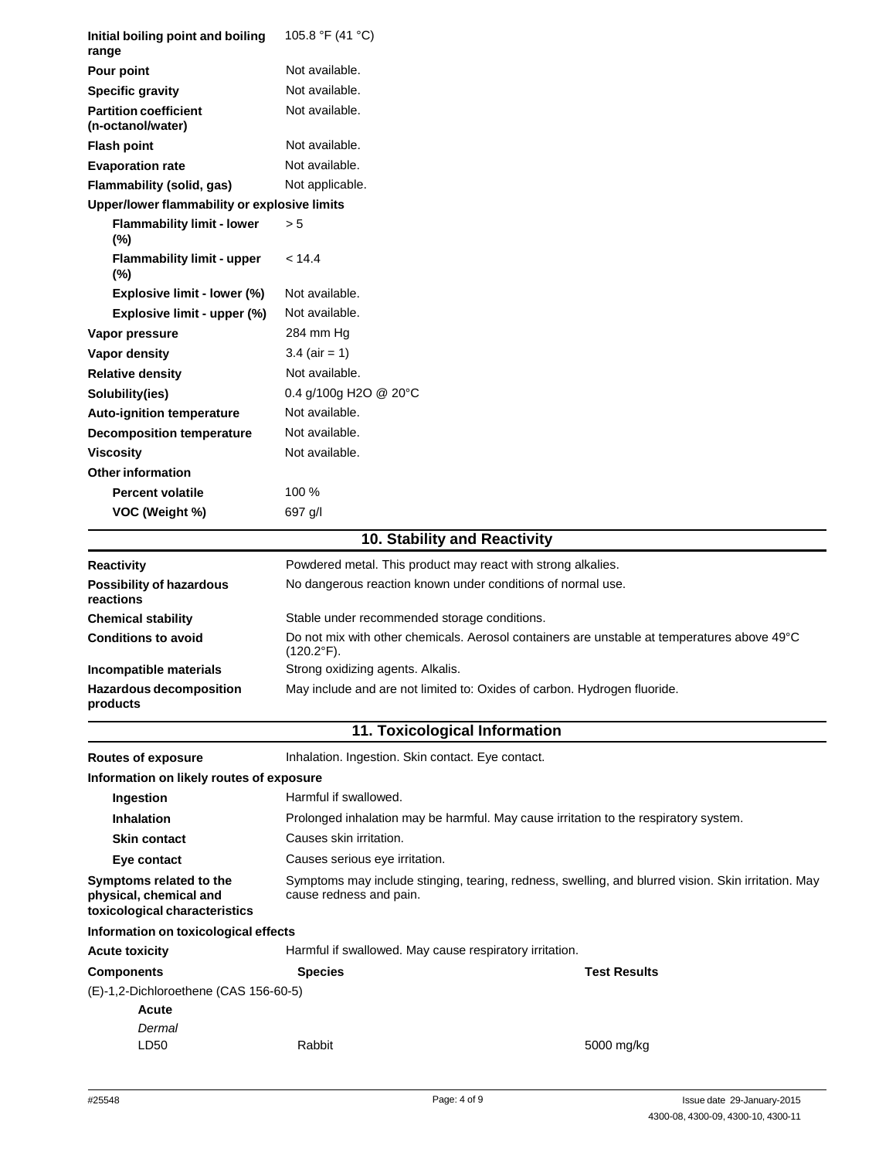| Initial boiling point and boiling<br>range                                         | 105.8 °F (41 °C)                                                                                                               |                     |  |
|------------------------------------------------------------------------------------|--------------------------------------------------------------------------------------------------------------------------------|---------------------|--|
| Pour point                                                                         | Not available.                                                                                                                 |                     |  |
| <b>Specific gravity</b>                                                            | Not available.                                                                                                                 |                     |  |
| <b>Partition coefficient</b><br>(n-octanol/water)                                  | Not available.                                                                                                                 |                     |  |
| <b>Flash point</b>                                                                 | Not available.                                                                                                                 |                     |  |
| <b>Evaporation rate</b>                                                            | Not available.                                                                                                                 |                     |  |
| Flammability (solid, gas)                                                          | Not applicable.                                                                                                                |                     |  |
| Upper/lower flammability or explosive limits                                       |                                                                                                                                |                     |  |
| <b>Flammability limit - lower</b><br>$(\%)$                                        | > 5                                                                                                                            |                     |  |
| <b>Flammability limit - upper</b><br>(%)                                           | < 14.4                                                                                                                         |                     |  |
| Explosive limit - lower (%)                                                        | Not available.                                                                                                                 |                     |  |
| Explosive limit - upper (%)                                                        | Not available.                                                                                                                 |                     |  |
| Vapor pressure                                                                     | 284 mm Hg                                                                                                                      |                     |  |
| Vapor density                                                                      | $3.4$ (air = 1)                                                                                                                |                     |  |
| <b>Relative density</b>                                                            | Not available.                                                                                                                 |                     |  |
| Solubility(ies)                                                                    | 0.4 g/100g H2O @ 20°C                                                                                                          |                     |  |
| <b>Auto-ignition temperature</b>                                                   | Not available.                                                                                                                 |                     |  |
| <b>Decomposition temperature</b>                                                   | Not available.                                                                                                                 |                     |  |
| <b>Viscosity</b>                                                                   | Not available.                                                                                                                 |                     |  |
| <b>Other information</b>                                                           |                                                                                                                                |                     |  |
| <b>Percent volatile</b>                                                            | 100 %                                                                                                                          |                     |  |
| VOC (Weight %)                                                                     | 697 g/l                                                                                                                        |                     |  |
|                                                                                    | 10. Stability and Reactivity                                                                                                   |                     |  |
| <b>Reactivity</b>                                                                  | Powdered metal. This product may react with strong alkalies.                                                                   |                     |  |
| Possibility of hazardous<br>reactions                                              | No dangerous reaction known under conditions of normal use.                                                                    |                     |  |
| <b>Chemical stability</b>                                                          | Stable under recommended storage conditions.                                                                                   |                     |  |
| <b>Conditions to avoid</b>                                                         | Do not mix with other chemicals. Aerosol containers are unstable at temperatures above 49°C<br>$(120.2^{\circ}F).$             |                     |  |
| Incompatible materials                                                             | Strong oxidizing agents. Alkalis.                                                                                              |                     |  |
| Hazardous decomposition<br>products                                                | May include and are not limited to: Oxides of carbon. Hydrogen fluoride.                                                       |                     |  |
|                                                                                    | 11. Toxicological Information                                                                                                  |                     |  |
| <b>Routes of exposure</b>                                                          | Inhalation. Ingestion. Skin contact. Eye contact.                                                                              |                     |  |
| Information on likely routes of exposure                                           |                                                                                                                                |                     |  |
| Ingestion                                                                          | Harmful if swallowed.                                                                                                          |                     |  |
| <b>Inhalation</b>                                                                  | Prolonged inhalation may be harmful. May cause irritation to the respiratory system.                                           |                     |  |
| <b>Skin contact</b>                                                                | Causes skin irritation.                                                                                                        |                     |  |
| Eye contact                                                                        | Causes serious eye irritation.                                                                                                 |                     |  |
| Symptoms related to the<br>physical, chemical and<br>toxicological characteristics | Symptoms may include stinging, tearing, redness, swelling, and blurred vision. Skin irritation. May<br>cause redness and pain. |                     |  |
| Information on toxicological effects                                               |                                                                                                                                |                     |  |
| <b>Acute toxicity</b>                                                              | Harmful if swallowed. May cause respiratory irritation.                                                                        |                     |  |
| <b>Components</b>                                                                  | <b>Species</b>                                                                                                                 | <b>Test Results</b> |  |
| (E)-1,2-Dichloroethene (CAS 156-60-5)<br>Acute<br>Dermal                           |                                                                                                                                |                     |  |
| LD50                                                                               | Rabbit                                                                                                                         | 5000 mg/kg          |  |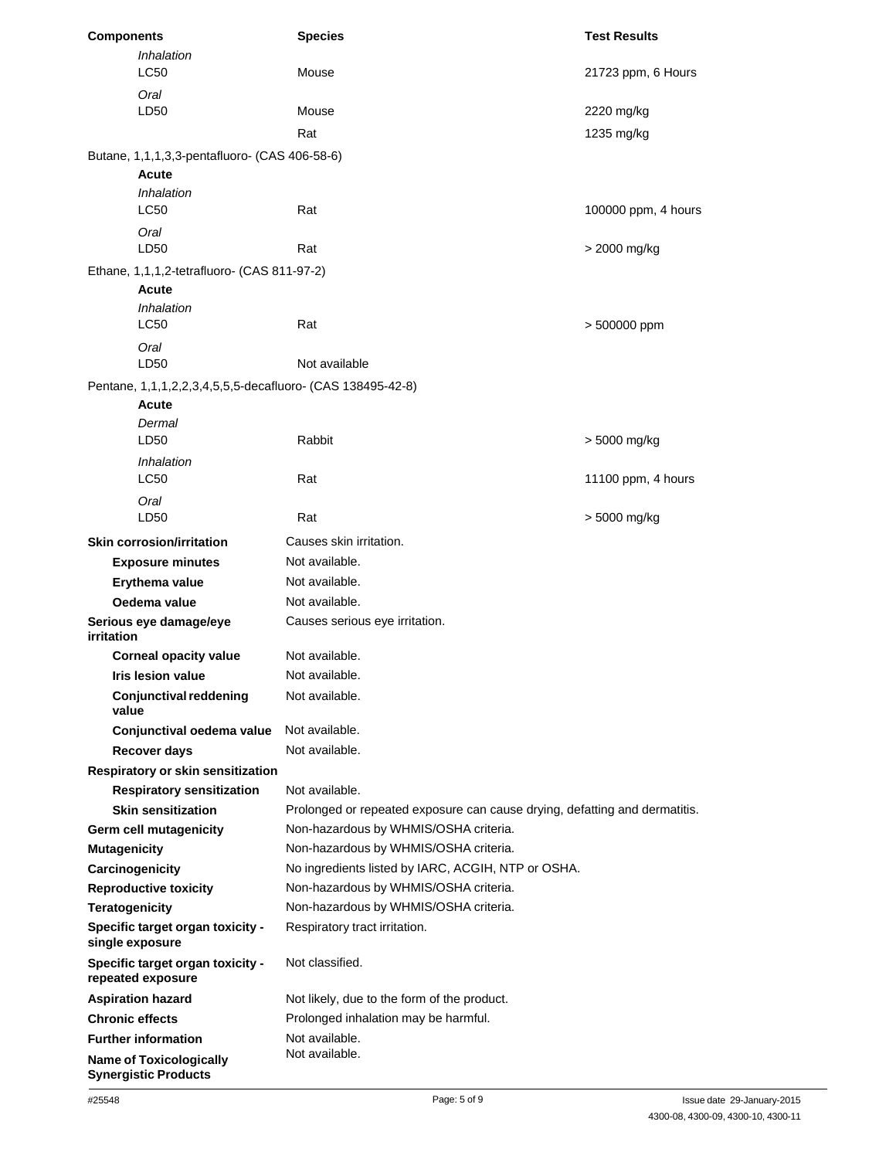| <b>Components</b>     |                                                            | <b>Species</b>                                                             | <b>Test Results</b> |  |
|-----------------------|------------------------------------------------------------|----------------------------------------------------------------------------|---------------------|--|
|                       | Inhalation<br><b>LC50</b>                                  | Mouse                                                                      | 21723 ppm, 6 Hours  |  |
|                       | Oral<br>LD50                                               | Mouse                                                                      | 2220 mg/kg          |  |
|                       |                                                            | Rat                                                                        | 1235 mg/kg          |  |
|                       | Butane, 1,1,1,3,3-pentafluoro- (CAS 406-58-6)              |                                                                            |                     |  |
|                       | Acute                                                      |                                                                            |                     |  |
|                       | Inhalation<br><b>LC50</b>                                  | Rat                                                                        | 100000 ppm, 4 hours |  |
|                       | Oral<br>LD50                                               | Rat                                                                        | > 2000 mg/kg        |  |
|                       | Ethane, 1,1,1,2-tetrafluoro- (CAS 811-97-2)                |                                                                            |                     |  |
|                       | <b>Acute</b>                                               |                                                                            |                     |  |
|                       | Inhalation                                                 |                                                                            |                     |  |
|                       | <b>LC50</b>                                                | Rat                                                                        | > 500000 ppm        |  |
|                       | Oral                                                       |                                                                            |                     |  |
|                       | LD50                                                       | Not available                                                              |                     |  |
|                       | Pentane, 1,1,1,2,2,3,4,5,5,5-decafluoro- (CAS 138495-42-8) |                                                                            |                     |  |
|                       | Acute                                                      |                                                                            |                     |  |
|                       | Dermal                                                     |                                                                            |                     |  |
|                       | LD50                                                       | Rabbit                                                                     | > 5000 mg/kg        |  |
|                       | <i><b>Inhalation</b></i><br><b>LC50</b>                    | Rat                                                                        | 11100 ppm, 4 hours  |  |
|                       | Oral                                                       |                                                                            |                     |  |
|                       | LD <sub>50</sub>                                           | Rat                                                                        | > 5000 mg/kg        |  |
|                       | <b>Skin corrosion/irritation</b>                           | Causes skin irritation.                                                    |                     |  |
|                       | <b>Exposure minutes</b>                                    | Not available.                                                             |                     |  |
|                       | Erythema value                                             | Not available.                                                             |                     |  |
|                       | Oedema value                                               | Not available.                                                             |                     |  |
| irritation            | Serious eye damage/eye                                     | Causes serious eye irritation.                                             |                     |  |
|                       | <b>Corneal opacity value</b>                               | Not available.                                                             |                     |  |
|                       | Iris lesion value                                          | Not available.                                                             |                     |  |
| value                 | <b>Conjunctival reddening</b>                              | Not available.                                                             |                     |  |
|                       | Conjunctival oedema value                                  | Not available.                                                             |                     |  |
|                       | Recover days                                               | Not available.                                                             |                     |  |
|                       | Respiratory or skin sensitization                          |                                                                            |                     |  |
|                       | <b>Respiratory sensitization</b>                           | Not available.                                                             |                     |  |
|                       | <b>Skin sensitization</b>                                  | Prolonged or repeated exposure can cause drying, defatting and dermatitis. |                     |  |
|                       | Germ cell mutagenicity                                     | Non-hazardous by WHMIS/OSHA criteria.                                      |                     |  |
| <b>Mutagenicity</b>   |                                                            | Non-hazardous by WHMIS/OSHA criteria.                                      |                     |  |
|                       | Carcinogenicity                                            | No ingredients listed by IARC, ACGIH, NTP or OSHA.                         |                     |  |
|                       | <b>Reproductive toxicity</b>                               | Non-hazardous by WHMIS/OSHA criteria.                                      |                     |  |
| <b>Teratogenicity</b> |                                                            | Non-hazardous by WHMIS/OSHA criteria.                                      |                     |  |
|                       | Specific target organ toxicity -<br>single exposure        | Respiratory tract irritation.                                              |                     |  |
|                       | Specific target organ toxicity -<br>repeated exposure      | Not classified.                                                            |                     |  |
|                       | <b>Aspiration hazard</b>                                   | Not likely, due to the form of the product.                                |                     |  |
|                       | <b>Chronic effects</b>                                     | Prolonged inhalation may be harmful.                                       |                     |  |
|                       | <b>Further information</b>                                 | Not available.                                                             |                     |  |
|                       | <b>Name of Toxicologically</b>                             | Not available.                                                             |                     |  |
|                       | <b>Synergistic Products</b>                                |                                                                            |                     |  |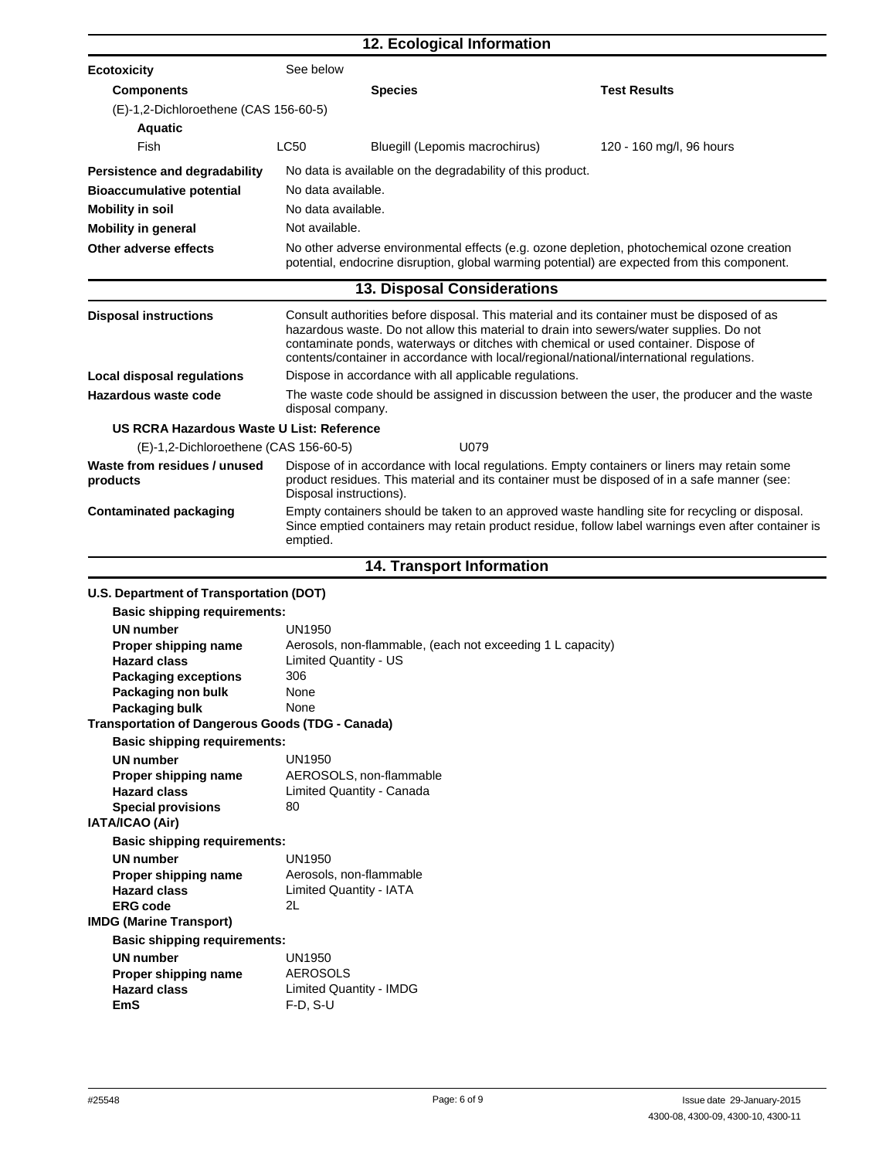|                                                         |                                                                                                                                                                                                                                                                                                                                                                           | 12. Ecological Information                                 |                                                                                                                                                                                             |  |  |
|---------------------------------------------------------|---------------------------------------------------------------------------------------------------------------------------------------------------------------------------------------------------------------------------------------------------------------------------------------------------------------------------------------------------------------------------|------------------------------------------------------------|---------------------------------------------------------------------------------------------------------------------------------------------------------------------------------------------|--|--|
| <b>Ecotoxicity</b>                                      | See below                                                                                                                                                                                                                                                                                                                                                                 |                                                            |                                                                                                                                                                                             |  |  |
| <b>Components</b>                                       |                                                                                                                                                                                                                                                                                                                                                                           | <b>Species</b>                                             | <b>Test Results</b>                                                                                                                                                                         |  |  |
| (E)-1,2-Dichloroethene (CAS 156-60-5)                   |                                                                                                                                                                                                                                                                                                                                                                           |                                                            |                                                                                                                                                                                             |  |  |
| <b>Aquatic</b>                                          |                                                                                                                                                                                                                                                                                                                                                                           |                                                            |                                                                                                                                                                                             |  |  |
| Fish                                                    | LC50                                                                                                                                                                                                                                                                                                                                                                      | Bluegill (Lepomis macrochirus)                             | 120 - 160 mg/l, 96 hours                                                                                                                                                                    |  |  |
|                                                         |                                                                                                                                                                                                                                                                                                                                                                           |                                                            |                                                                                                                                                                                             |  |  |
| Persistence and degradability                           |                                                                                                                                                                                                                                                                                                                                                                           | No data is available on the degradability of this product. |                                                                                                                                                                                             |  |  |
| <b>Bioaccumulative potential</b>                        | No data available.                                                                                                                                                                                                                                                                                                                                                        |                                                            |                                                                                                                                                                                             |  |  |
| <b>Mobility in soil</b>                                 | No data available.                                                                                                                                                                                                                                                                                                                                                        |                                                            |                                                                                                                                                                                             |  |  |
| <b>Mobility in general</b>                              | Not available.                                                                                                                                                                                                                                                                                                                                                            |                                                            |                                                                                                                                                                                             |  |  |
| Other adverse effects                                   |                                                                                                                                                                                                                                                                                                                                                                           |                                                            | No other adverse environmental effects (e.g. ozone depletion, photochemical ozone creation<br>potential, endocrine disruption, global warming potential) are expected from this component.  |  |  |
|                                                         |                                                                                                                                                                                                                                                                                                                                                                           | 13. Disposal Considerations                                |                                                                                                                                                                                             |  |  |
| <b>Disposal instructions</b>                            | Consult authorities before disposal. This material and its container must be disposed of as<br>hazardous waste. Do not allow this material to drain into sewers/water supplies. Do not<br>contaminate ponds, waterways or ditches with chemical or used container. Dispose of<br>contents/container in accordance with local/regional/national/international regulations. |                                                            |                                                                                                                                                                                             |  |  |
| Local disposal regulations                              |                                                                                                                                                                                                                                                                                                                                                                           | Dispose in accordance with all applicable regulations.     |                                                                                                                                                                                             |  |  |
| Hazardous waste code                                    |                                                                                                                                                                                                                                                                                                                                                                           |                                                            | The waste code should be assigned in discussion between the user, the producer and the waste                                                                                                |  |  |
|                                                         | disposal company.                                                                                                                                                                                                                                                                                                                                                         |                                                            |                                                                                                                                                                                             |  |  |
| US RCRA Hazardous Waste U List: Reference               |                                                                                                                                                                                                                                                                                                                                                                           |                                                            |                                                                                                                                                                                             |  |  |
| (E)-1,2-Dichloroethene (CAS 156-60-5)                   |                                                                                                                                                                                                                                                                                                                                                                           | U079                                                       |                                                                                                                                                                                             |  |  |
| Waste from residues / unused<br>products                | Disposal instructions).                                                                                                                                                                                                                                                                                                                                                   |                                                            | Dispose of in accordance with local regulations. Empty containers or liners may retain some<br>product residues. This material and its container must be disposed of in a safe manner (see: |  |  |
| <b>Contaminated packaging</b>                           | Empty containers should be taken to an approved waste handling site for recycling or disposal.<br>Since emptied containers may retain product residue, follow label warnings even after container is<br>emptied.                                                                                                                                                          |                                                            |                                                                                                                                                                                             |  |  |
|                                                         | 14. Transport Information                                                                                                                                                                                                                                                                                                                                                 |                                                            |                                                                                                                                                                                             |  |  |
| U.S. Department of Transportation (DOT)                 |                                                                                                                                                                                                                                                                                                                                                                           |                                                            |                                                                                                                                                                                             |  |  |
| <b>Basic shipping requirements:</b>                     |                                                                                                                                                                                                                                                                                                                                                                           |                                                            |                                                                                                                                                                                             |  |  |
| UN number                                               | UN1950                                                                                                                                                                                                                                                                                                                                                                    |                                                            |                                                                                                                                                                                             |  |  |
| Proper shipping name                                    |                                                                                                                                                                                                                                                                                                                                                                           | Aerosols, non-flammable, (each not exceeding 1 L capacity) |                                                                                                                                                                                             |  |  |
| <b>Hazard class</b>                                     | Limited Quantity - US                                                                                                                                                                                                                                                                                                                                                     |                                                            |                                                                                                                                                                                             |  |  |
| <b>Packaging exceptions</b>                             | 306                                                                                                                                                                                                                                                                                                                                                                       |                                                            |                                                                                                                                                                                             |  |  |
| Packaging non bulk                                      | None                                                                                                                                                                                                                                                                                                                                                                      |                                                            |                                                                                                                                                                                             |  |  |
| Packaging bulk                                          | None                                                                                                                                                                                                                                                                                                                                                                      |                                                            |                                                                                                                                                                                             |  |  |
| <b>Transportation of Dangerous Goods (TDG - Canada)</b> |                                                                                                                                                                                                                                                                                                                                                                           |                                                            |                                                                                                                                                                                             |  |  |
| <b>Basic shipping requirements:</b>                     |                                                                                                                                                                                                                                                                                                                                                                           |                                                            |                                                                                                                                                                                             |  |  |
| <b>UN number</b>                                        | <b>UN1950</b>                                                                                                                                                                                                                                                                                                                                                             |                                                            |                                                                                                                                                                                             |  |  |
| Proper shipping name<br><b>Hazard class</b>             |                                                                                                                                                                                                                                                                                                                                                                           | AEROSOLS, non-flammable                                    |                                                                                                                                                                                             |  |  |
| <b>Special provisions</b>                               | 80                                                                                                                                                                                                                                                                                                                                                                        | Limited Quantity - Canada                                  |                                                                                                                                                                                             |  |  |
| IATA/ICAO (Air)                                         |                                                                                                                                                                                                                                                                                                                                                                           |                                                            |                                                                                                                                                                                             |  |  |
| <b>Basic shipping requirements:</b>                     |                                                                                                                                                                                                                                                                                                                                                                           |                                                            |                                                                                                                                                                                             |  |  |
| <b>UN number</b>                                        | <b>UN1950</b>                                                                                                                                                                                                                                                                                                                                                             |                                                            |                                                                                                                                                                                             |  |  |
| Proper shipping name                                    |                                                                                                                                                                                                                                                                                                                                                                           | Aerosols, non-flammable                                    |                                                                                                                                                                                             |  |  |
| <b>Hazard class</b>                                     |                                                                                                                                                                                                                                                                                                                                                                           | <b>Limited Quantity - IATA</b>                             |                                                                                                                                                                                             |  |  |
| <b>ERG code</b>                                         | 2L                                                                                                                                                                                                                                                                                                                                                                        |                                                            |                                                                                                                                                                                             |  |  |
| <b>IMDG (Marine Transport)</b>                          |                                                                                                                                                                                                                                                                                                                                                                           |                                                            |                                                                                                                                                                                             |  |  |
| <b>Basic shipping requirements:</b>                     |                                                                                                                                                                                                                                                                                                                                                                           |                                                            |                                                                                                                                                                                             |  |  |
| <b>UN number</b>                                        | UN1950                                                                                                                                                                                                                                                                                                                                                                    |                                                            |                                                                                                                                                                                             |  |  |
| Proper shipping name                                    | <b>AEROSOLS</b>                                                                                                                                                                                                                                                                                                                                                           |                                                            |                                                                                                                                                                                             |  |  |
| <b>Hazard class</b>                                     |                                                                                                                                                                                                                                                                                                                                                                           | <b>Limited Quantity - IMDG</b>                             |                                                                                                                                                                                             |  |  |
| <b>EmS</b>                                              | $F-D, S-U$                                                                                                                                                                                                                                                                                                                                                                |                                                            |                                                                                                                                                                                             |  |  |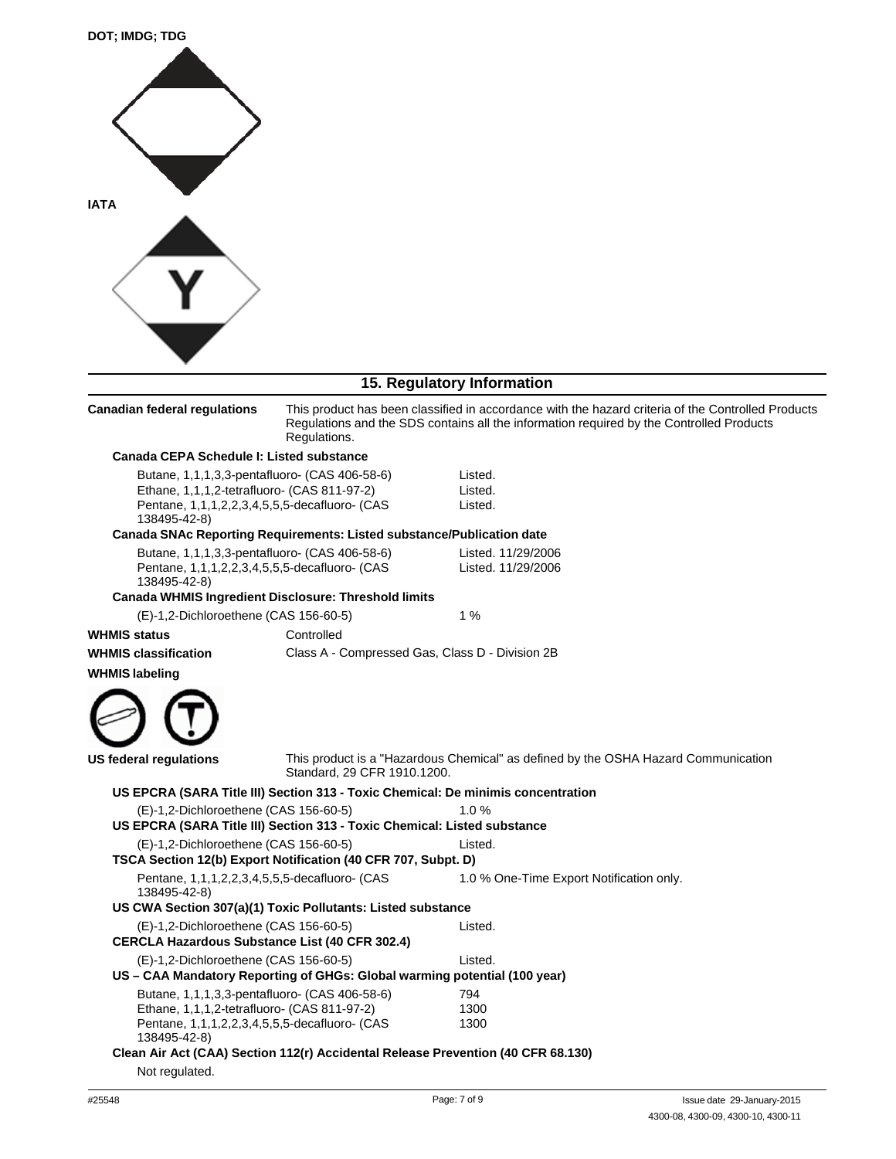

**Canadian federal regulations** 

## **15. Regulatory Information**

| This product has been classified in accordance with the hazard criteria of the Controlled Products |
|----------------------------------------------------------------------------------------------------|
| Regulations and the SDS contains all the information required by the Controlled Products           |
| Regulations.                                                                                       |
|                                                                                                    |

| Canada CEPA Schedule I: Listed substance |                                                                                                                                               |                                                                                    |
|------------------------------------------|-----------------------------------------------------------------------------------------------------------------------------------------------|------------------------------------------------------------------------------------|
| 138495-42-8)                             | Butane, 1,1,1,3,3-pentafluoro- (CAS 406-58-6)<br>Ethane, 1,1,1,2-tetrafluoro- (CAS 811-97-2)<br>Pentane, 1,1,1,2,2,3,4,5,5,5-decafluoro- (CAS | Listed.<br>Listed.<br>Listed.                                                      |
|                                          | <b>Canada SNAc Reporting Requirements: Listed substance/Publication date</b>                                                                  |                                                                                    |
|                                          | Butane, 1,1,1,3,3-pentafluoro- (CAS 406-58-6)<br>Pentane, 1,1,1,2,2,3,4,5,5,5-decafluoro- (CAS                                                | Listed. 11/29/2006<br>Listed. 11/29/2006                                           |
| 138495-42-8)                             | Canada WHMIS Ingredient Disclosure: Threshold limits                                                                                          |                                                                                    |
| (E)-1,2-Dichloroethene (CAS 156-60-5)    |                                                                                                                                               | 1%                                                                                 |
| <b>WHMIS status</b>                      | Controlled                                                                                                                                    |                                                                                    |
| <b>WHMIS classification</b>              | Class A - Compressed Gas, Class D - Division 2B                                                                                               |                                                                                    |
| <b>WHMIS labeling</b>                    |                                                                                                                                               |                                                                                    |
|                                          |                                                                                                                                               |                                                                                    |
| <b>US federal regulations</b>            | Standard, 29 CFR 1910,1200.                                                                                                                   | This product is a "Hazardous Chemical" as defined by the OSHA Hazard Communication |
|                                          | US EPCRA (SARA Title III) Section 313 - Toxic Chemical: De minimis concentration                                                              |                                                                                    |
| (E)-1,2-Dichloroethene (CAS 156-60-5)    | US EPCRA (SARA Title III) Section 313 - Toxic Chemical: Listed substance                                                                      | 1.0%                                                                               |
| (E)-1,2-Dichloroethene (CAS 156-60-5)    | TSCA Section 12(b) Export Notification (40 CFR 707, Subpt. D)                                                                                 | Listed.                                                                            |
| 138495-42-8)                             | Pentane, 1,1,1,2,2,3,4,5,5,5-decafluoro- (CAS                                                                                                 | 1.0 % One-Time Export Notification only.                                           |
|                                          | US CWA Section 307(a)(1) Toxic Pollutants: Listed substance                                                                                   |                                                                                    |
| (E)-1,2-Dichloroethene (CAS 156-60-5)    | <b>CERCLA Hazardous Substance List (40 CFR 302.4)</b>                                                                                         | Listed.                                                                            |
| (E)-1,2-Dichloroethene (CAS 156-60-5)    |                                                                                                                                               | Listed.                                                                            |
|                                          | US - CAA Mandatory Reporting of GHGs: Global warming potential (100 year)                                                                     |                                                                                    |
| 138495-42-8)                             | Butane, 1,1,1,3,3-pentafluoro- (CAS 406-58-6)<br>Ethane, 1,1,1,2-tetrafluoro- (CAS 811-97-2)<br>Pentane, 1,1,1,2,2,3,4,5,5,5-decafluoro- (CAS | 794<br>1300<br>1300                                                                |
|                                          | Clean Air Act (CAA) Section 112(r) Accidental Release Prevention (40 CFR 68.130)                                                              |                                                                                    |
| Not regulated.                           |                                                                                                                                               |                                                                                    |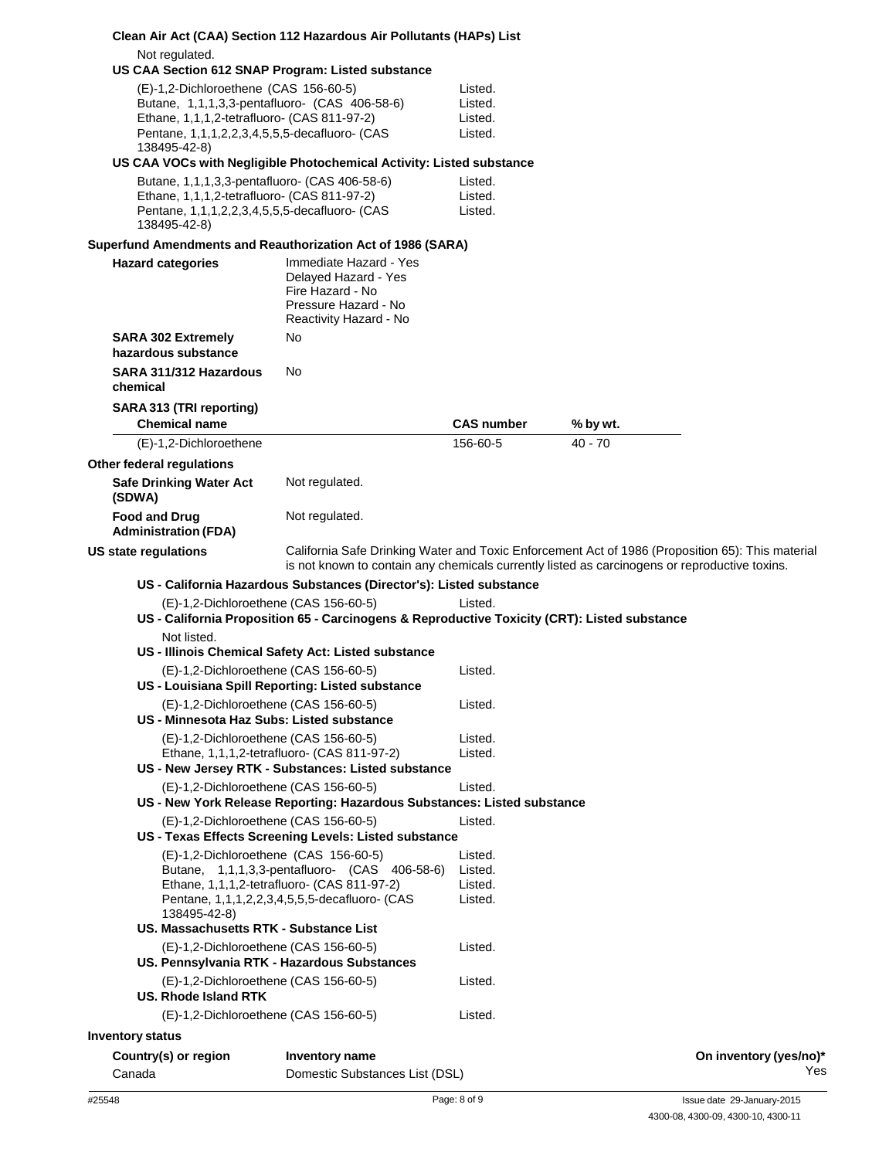|                                                                                                                                                                                                        | Clean Air Act (CAA) Section 112 Hazardous Air Pollutants (HAPs) List                                                                                                                              |                                          |           |                        |
|--------------------------------------------------------------------------------------------------------------------------------------------------------------------------------------------------------|---------------------------------------------------------------------------------------------------------------------------------------------------------------------------------------------------|------------------------------------------|-----------|------------------------|
| Not regulated.<br>US CAA Section 612 SNAP Program: Listed substance                                                                                                                                    |                                                                                                                                                                                                   |                                          |           |                        |
| (E)-1,2-Dichloroethene (CAS 156-60-5)<br>Butane, 1,1,1,3,3-pentafluoro- (CAS 406-58-6)<br>Ethane, 1,1,1,2-tetrafluoro- (CAS 811-97-2)<br>Pentane, 1,1,1,2,2,3,4,5,5,5-decafluoro- (CAS<br>138495-42-8) | US CAA VOCs with Negligible Photochemical Activity: Listed substance                                                                                                                              | Listed.<br>Listed.<br>Listed.<br>Listed. |           |                        |
| Butane, 1,1,1,3,3-pentafluoro- (CAS 406-58-6)<br>Ethane, 1,1,1,2-tetrafluoro- (CAS 811-97-2)<br>Pentane, 1,1,1,2,2,3,4,5,5,5-decafluoro- (CAS<br>138495-42-8)                                          |                                                                                                                                                                                                   | Listed.<br>Listed.<br>Listed.            |           |                        |
| Superfund Amendments and Reauthorization Act of 1986 (SARA)                                                                                                                                            |                                                                                                                                                                                                   |                                          |           |                        |
| <b>Hazard categories</b>                                                                                                                                                                               | Immediate Hazard - Yes<br>Delayed Hazard - Yes<br>Fire Hazard - No<br>Pressure Hazard - No<br>Reactivity Hazard - No                                                                              |                                          |           |                        |
| <b>SARA 302 Extremely</b><br>hazardous substance                                                                                                                                                       | No                                                                                                                                                                                                |                                          |           |                        |
| SARA 311/312 Hazardous<br>chemical                                                                                                                                                                     | No                                                                                                                                                                                                |                                          |           |                        |
| SARA 313 (TRI reporting)<br><b>Chemical name</b>                                                                                                                                                       |                                                                                                                                                                                                   | <b>CAS number</b>                        | % by wt.  |                        |
| (E)-1,2-Dichloroethene                                                                                                                                                                                 |                                                                                                                                                                                                   | 156-60-5                                 | $40 - 70$ |                        |
| Other federal regulations                                                                                                                                                                              |                                                                                                                                                                                                   |                                          |           |                        |
| <b>Safe Drinking Water Act</b><br>(SDWA)                                                                                                                                                               | Not regulated.                                                                                                                                                                                    |                                          |           |                        |
| <b>Food and Drug</b><br><b>Administration (FDA)</b>                                                                                                                                                    | Not regulated.                                                                                                                                                                                    |                                          |           |                        |
| US state regulations                                                                                                                                                                                   | California Safe Drinking Water and Toxic Enforcement Act of 1986 (Proposition 65): This material<br>is not known to contain any chemicals currently listed as carcinogens or reproductive toxins. |                                          |           |                        |
|                                                                                                                                                                                                        | US - California Hazardous Substances (Director's): Listed substance                                                                                                                               |                                          |           |                        |
| (E)-1,2-Dichloroethene (CAS 156-60-5)                                                                                                                                                                  | US - California Proposition 65 - Carcinogens & Reproductive Toxicity (CRT): Listed substance                                                                                                      | Listed.                                  |           |                        |
| Not listed.                                                                                                                                                                                            |                                                                                                                                                                                                   |                                          |           |                        |
|                                                                                                                                                                                                        | US - Illinois Chemical Safety Act: Listed substance                                                                                                                                               |                                          |           |                        |
| (E)-1,2-Dichloroethene (CAS 156-60-5)                                                                                                                                                                  | US - Louisiana Spill Reporting: Listed substance                                                                                                                                                  | Listed.                                  |           |                        |
| (E)-1,2-Dichloroethene (CAS 156-60-5)<br>US - Minnesota Haz Subs: Listed substance                                                                                                                     |                                                                                                                                                                                                   | Listed.                                  |           |                        |
| (E)-1,2-Dichloroethene (CAS 156-60-5)                                                                                                                                                                  | Ethane, 1,1,1,2-tetrafluoro- (CAS 811-97-2)<br>US - New Jersey RTK - Substances: Listed substance                                                                                                 | Listed.<br>Listed.                       |           |                        |
| (E)-1,2-Dichloroethene (CAS 156-60-5)                                                                                                                                                                  | US - New York Release Reporting: Hazardous Substances: Listed substance                                                                                                                           | Listed.                                  |           |                        |
| (E)-1,2-Dichloroethene (CAS 156-60-5)                                                                                                                                                                  | US - Texas Effects Screening Levels: Listed substance                                                                                                                                             | Listed.                                  |           |                        |
| (E)-1,2-Dichloroethene (CAS 156-60-5)<br>138495-42-8)                                                                                                                                                  | Butane, 1,1,1,3,3-pentafluoro- (CAS 406-58-6)<br>Ethane, 1,1,1,2-tetrafluoro- (CAS 811-97-2)<br>Pentane, 1,1,1,2,2,3,4,5,5,5-decafluoro- (CAS                                                     | Listed.<br>Listed.<br>Listed.<br>Listed. |           |                        |
| US. Massachusetts RTK - Substance List                                                                                                                                                                 |                                                                                                                                                                                                   |                                          |           |                        |
| (E)-1,2-Dichloroethene (CAS 156-60-5)<br>US. Pennsylvania RTK - Hazardous Substances                                                                                                                   |                                                                                                                                                                                                   | Listed.                                  |           |                        |
| (E)-1,2-Dichloroethene (CAS 156-60-5)<br><b>US. Rhode Island RTK</b>                                                                                                                                   |                                                                                                                                                                                                   | Listed.                                  |           |                        |
| (E)-1,2-Dichloroethene (CAS 156-60-5)                                                                                                                                                                  |                                                                                                                                                                                                   | Listed.                                  |           |                        |
| <b>Inventory status</b>                                                                                                                                                                                |                                                                                                                                                                                                   |                                          |           |                        |
| Country(s) or region                                                                                                                                                                                   | Inventory name                                                                                                                                                                                    |                                          |           | On inventory (yes/no)* |
| Canada                                                                                                                                                                                                 | Domestic Substances List (DSL)                                                                                                                                                                    |                                          |           | Yes                    |